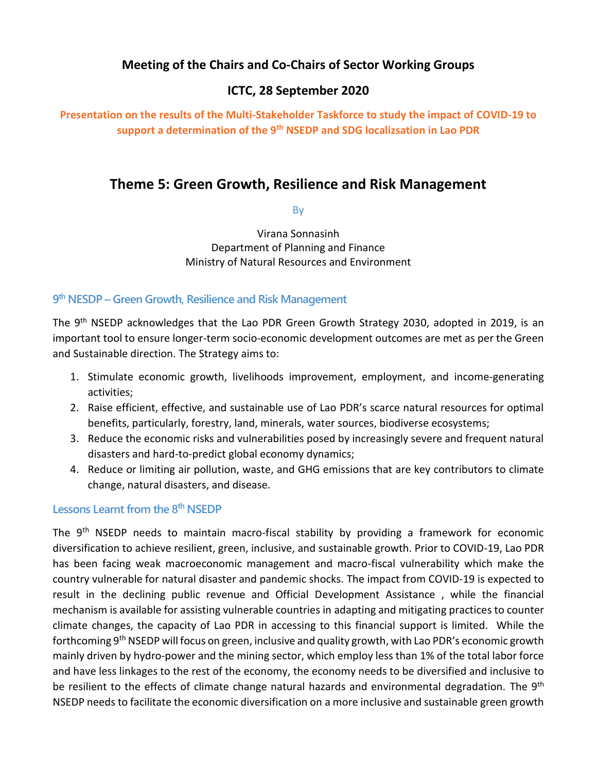# **Meeting of the Chairs and Co-Chairs of Sector Working Groups**

# **ICTC, 28 September 2020**

**Presentation on the results of the Multi-Stakeholder Taskforce to study the impact of COVID-19 to support a determination of the 9th NSEDP and SDG localizsation in Lao PDR**

# **Theme 5: Green Growth, Resilience and Risk Management**

By

Virana Sonnasinh Department of Planning and Finance Ministry of Natural Resources and Environment

#### **9 th NESDP – Green Growth, Resilience and Risk Management**

The 9<sup>th</sup> NSEDP acknowledges that the Lao PDR Green Growth Strategy 2030, adopted in 2019, is an important tool to ensure longer-term socio-economic development outcomes are met as per the Green and Sustainable direction. The Strategy aims to:

- 1. Stimulate economic growth, livelihoods improvement, employment, and income-generating activities;
- 2. Raise efficient, effective, and sustainable use of Lao PDR's scarce natural resources for optimal benefits, particularly, forestry, land, minerals, water sources, biodiverse ecosystems;
- 3. Reduce the economic risks and vulnerabilities posed by increasingly severe and frequent natural disasters and hard-to-predict global economy dynamics;
- 4. Reduce or limiting air pollution, waste, and GHG emissions that are key contributors to climate change, natural disasters, and disease.

#### **Lessons Learnt from the 8th NSEDP**

The 9<sup>th</sup> NSEDP needs to maintain macro-fiscal stability by providing a framework for economic diversification to achieve resilient, green, inclusive, and sustainable growth. Prior to COVID-19, Lao PDR has been facing weak macroeconomic management and macro-fiscal vulnerability which make the country vulnerable for natural disaster and pandemic shocks. The impact from COVID-19 is expected to result in the declining public revenue and Official Development Assistance , while the financial mechanism is available for assisting vulnerable countries in adapting and mitigating practices to counter climate changes, the capacity of Lao PDR in accessing to this financial support is limited. While the forthcoming 9th NSEDP will focus on green, inclusive and quality growth, with Lao PDR's economic growth mainly driven by hydro-power and the mining sector, which employ less than 1% of the total labor force and have less linkages to the rest of the economy, the economy needs to be diversified and inclusive to be resilient to the effects of climate change natural hazards and environmental degradation. The 9<sup>th</sup> NSEDP needs to facilitate the economic diversification on a more inclusive and sustainable green growth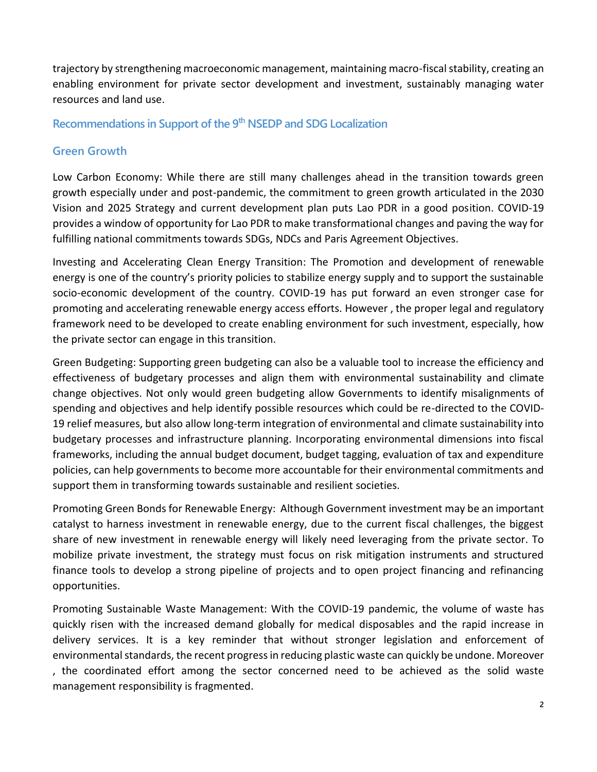trajectory by strengthening macroeconomic management, maintaining macro-fiscal stability, creating an enabling environment for private sector development and investment, sustainably managing water resources and land use.

## **Recommendations in Support of the 9th NSEDP and SDG Localization**

## **Green Growth**

Low Carbon Economy: While there are still many challenges ahead in the transition towards green growth especially under and post-pandemic, the commitment to green growth articulated in the 2030 Vision and 2025 Strategy and current development plan puts Lao PDR in a good position. COVID-19 provides a window of opportunity for Lao PDR to make transformational changes and paving the way for fulfilling national commitments towards SDGs, NDCs and Paris Agreement Objectives.

Investing and Accelerating Clean Energy Transition: The Promotion and development of renewable energy is one of the country's priority policies to stabilize energy supply and to support the sustainable socio-economic development of the country. COVID-19 has put forward an even stronger case for promoting and accelerating renewable energy access efforts. However , the proper legal and regulatory framework need to be developed to create enabling environment for such investment, especially, how the private sector can engage in this transition.

Green Budgeting: Supporting green budgeting can also be a valuable tool to increase the efficiency and effectiveness of budgetary processes and align them with environmental sustainability and climate change objectives. Not only would green budgeting allow Governments to identify misalignments of spending and objectives and help identify possible resources which could be re-directed to the COVID-19 relief measures, but also allow long-term integration of environmental and climate sustainability into budgetary processes and infrastructure planning. Incorporating environmental dimensions into fiscal frameworks, including the annual budget document, budget tagging, evaluation of tax and expenditure policies, can help governments to become more accountable for their environmental commitments and support them in transforming towards sustainable and resilient societies.

Promoting Green Bonds for Renewable Energy: Although Government investment may be an important catalyst to harness investment in renewable energy, due to the current fiscal challenges, the biggest share of new investment in renewable energy will likely need leveraging from the private sector. To mobilize private investment, the strategy must focus on risk mitigation instruments and structured finance tools to develop a strong pipeline of projects and to open project financing and refinancing opportunities.

Promoting Sustainable Waste Management: With the COVID-19 pandemic, the volume of waste has quickly risen with the increased demand globally for medical disposables and the rapid increase in delivery services. It is a key reminder that without stronger legislation and enforcement of environmental standards, the recent progress in reducing plastic waste can quickly be undone. Moreover , the coordinated effort among the sector concerned need to be achieved as the solid waste management responsibility is fragmented.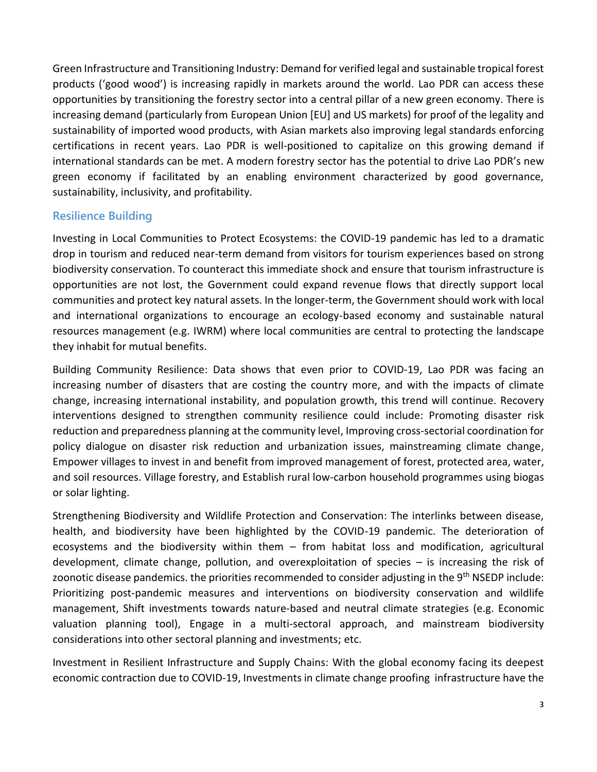Green Infrastructure and Transitioning Industry: Demand for verified legal and sustainable tropical forest products ('good wood') is increasing rapidly in markets around the world. Lao PDR can access these opportunities by transitioning the forestry sector into a central pillar of a new green economy. There is increasing demand (particularly from European Union [EU] and US markets) for proof of the legality and sustainability of imported wood products, with Asian markets also improving legal standards enforcing certifications in recent years. Lao PDR is well-positioned to capitalize on this growing demand if international standards can be met. A modern forestry sector has the potential to drive Lao PDR's new green economy if facilitated by an enabling environment characterized by good governance, sustainability, inclusivity, and profitability.

#### **Resilience Building**

Investing in Local Communities to Protect Ecosystems: the COVID-19 pandemic has led to a dramatic drop in tourism and reduced near-term demand from visitors for tourism experiences based on strong biodiversity conservation. To counteract this immediate shock and ensure that tourism infrastructure is opportunities are not lost, the Government could expand revenue flows that directly support local communities and protect key natural assets. In the longer-term, the Government should work with local and international organizations to encourage an ecology-based economy and sustainable natural resources management (e.g. IWRM) where local communities are central to protecting the landscape they inhabit for mutual benefits.

Building Community Resilience: Data shows that even prior to COVID-19, Lao PDR was facing an increasing number of disasters that are costing the country more, and with the impacts of climate change, increasing international instability, and population growth, this trend will continue. Recovery interventions designed to strengthen community resilience could include: Promoting disaster risk reduction and preparedness planning at the community level, Improving cross-sectorial coordination for policy dialogue on disaster risk reduction and urbanization issues, mainstreaming climate change, Empower villages to invest in and benefit from improved management of forest, protected area, water, and soil resources. Village forestry, and Establish rural low-carbon household programmes using biogas or solar lighting.

Strengthening Biodiversity and Wildlife Protection and Conservation: The interlinks between disease, health, and biodiversity have been highlighted by the COVID-19 pandemic. The deterioration of ecosystems and the biodiversity within them – from habitat loss and modification, agricultural development, climate change, pollution, and overexploitation of species – is increasing the risk of zoonotic disease pandemics. the priorities recommended to consider adjusting in the 9<sup>th</sup> NSEDP include: Prioritizing post-pandemic measures and interventions on biodiversity conservation and wildlife management, Shift investments towards nature-based and neutral climate strategies (e.g. Economic valuation planning tool), Engage in a multi-sectoral approach, and mainstream biodiversity considerations into other sectoral planning and investments; etc.

Investment in Resilient Infrastructure and Supply Chains: With the global economy facing its deepest economic contraction due to COVID-19, Investments in climate change proofing infrastructure have the